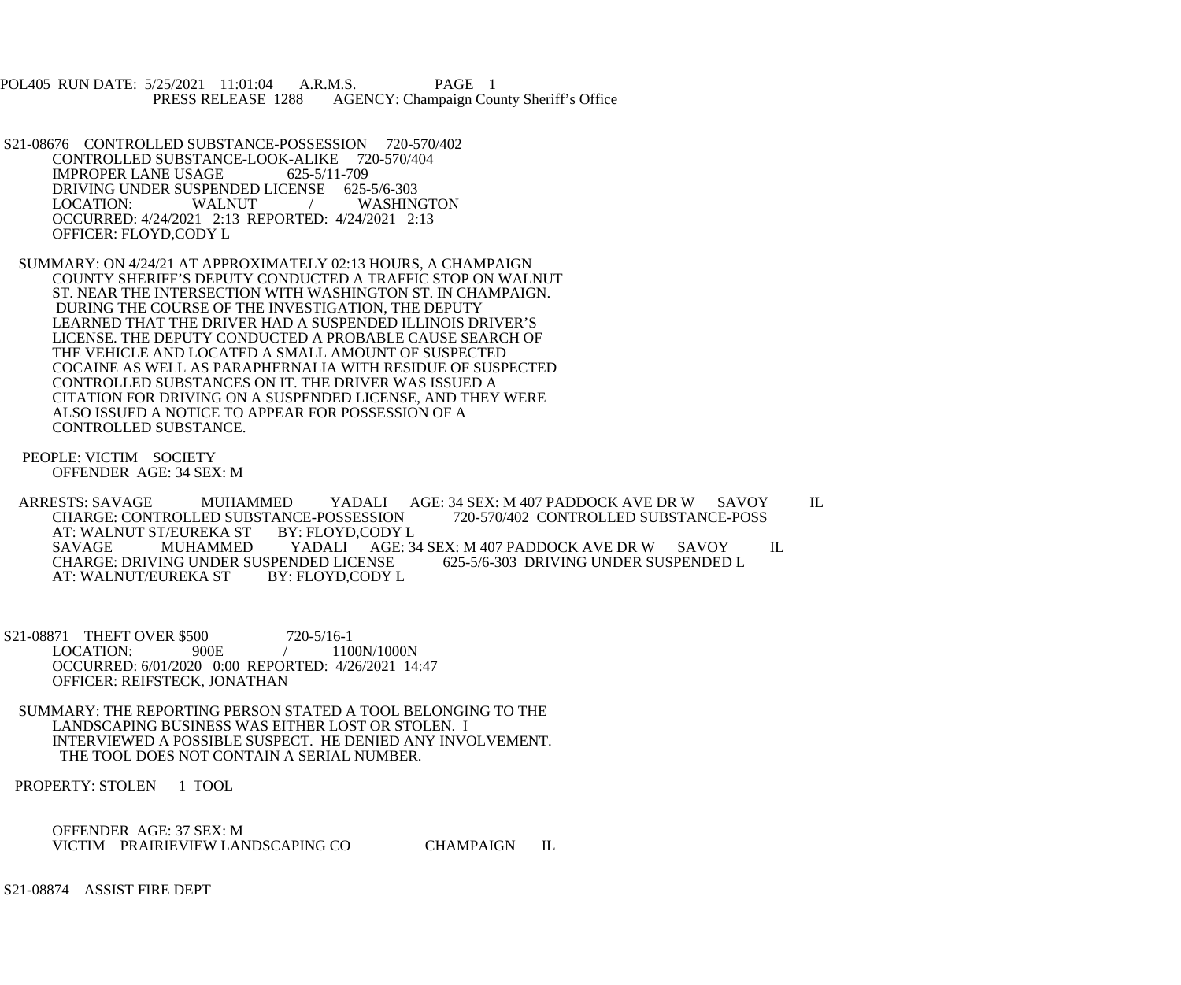POL405 RUN DATE: 5/25/2021 11:01:04 A.R.M.S. PAGE 1<br>PRESS RELEASE 1288 AGENCY: Champaign Cou AGENCY: Champaign County Sheriff's Office

 S21-08676 CONTROLLED SUBSTANCE-POSSESSION 720-570/402 CONTROLLED SUBSTANCE-LOOK-ALIKE 720-570/404 IMPROPER LANE USAGE 625-5/11-709 DRIVING UNDER SUSPENDED LICENSE 625-5/6-303<br>LOCATION: WALNUT / WASHIN / WASHINGTON OCCURRED: 4/24/2021 2:13 REPORTED: 4/24/2021 2:13 OFFICER: FLOYD,CODY L

 SUMMARY: ON 4/24/21 AT APPROXIMATELY 02:13 HOURS, A CHAMPAIGN COUNTY SHERIFF'S DEPUTY CONDUCTED A TRAFFIC STOP ON WALNUT ST. NEAR THE INTERSECTION WITH WASHINGTON ST. IN CHAMPAIGN. DURING THE COURSE OF THE INVESTIGATION, THE DEPUTY LEARNED THAT THE DRIVER HAD A SUSPENDED ILLINOIS DRIVER'S LICENSE. THE DEPUTY CONDUCTED A PROBABLE CAUSE SEARCH OF THE VEHICLE AND LOCATED A SMALL AMOUNT OF SUSPECTED COCAINE AS WELL AS PARAPHERNALIA WITH RESIDUE OF SUSPECTED CONTROLLED SUBSTANCES ON IT. THE DRIVER WAS ISSUED A CITATION FOR DRIVING ON A SUSPENDED LICENSE, AND THEY WERE ALSO ISSUED A NOTICE TO APPEAR FOR POSSESSION OF A CONTROLLED SUBSTANCE.

 PEOPLE: VICTIM SOCIETY OFFENDER AGE: 34 SEX: M

ARRESTS: SAVAGE MUHAMMED YADALI AGE: 34 SEX: M 407 PADDOCK AVE DR W SAVOY IL CHARGE: CONTROLLED SUBSTANCE-POSSESSION 720-570/402 CONTROLLED SUBSTANCE-POSS CHARGE: CONTROLLED SUBSTANCE-POSSESSION<br>AT: WALNUT ST/EUREKA ST BY: FLOYD,CODY L AT: WALNUT ST/EUREKA ST BY: FLOYD,CODY L YADALI AGE: 34 SEX: M 407 PADDOCK AVE DR W SAVOY IL<br>NDED LICENSE 625-5/6-303 DRIVING UNDER SUSPENDED L CHARGE: DRIVING UNDER SUSPENDED LICENSE<br>AT: WALNUT/EUREKA ST BY: FLOYD.CODY L AT: WALNUT/EUREKA ST

S21-08871 THEFT OVER \$500 720-5/16-1<br>LOCATION: 900E / 110 1100N/1000N OCCURRED: 6/01/2020 0:00 REPORTED: 4/26/2021 14:47 OFFICER: REIFSTECK, JONATHAN

 SUMMARY: THE REPORTING PERSON STATED A TOOL BELONGING TO THE LANDSCAPING BUSINESS WAS EITHER LOST OR STOLEN. I INTERVIEWED A POSSIBLE SUSPECT. HE DENIED ANY INVOLVEMENT. THE TOOL DOES NOT CONTAIN A SERIAL NUMBER.

PROPERTY: STOLEN 1 TOOL

 OFFENDER AGE: 37 SEX: M VICTIM PRAIRIEVIEW LANDSCAPING CO CHAMPAIGN IL

S21-08874 ASSIST FIRE DEPT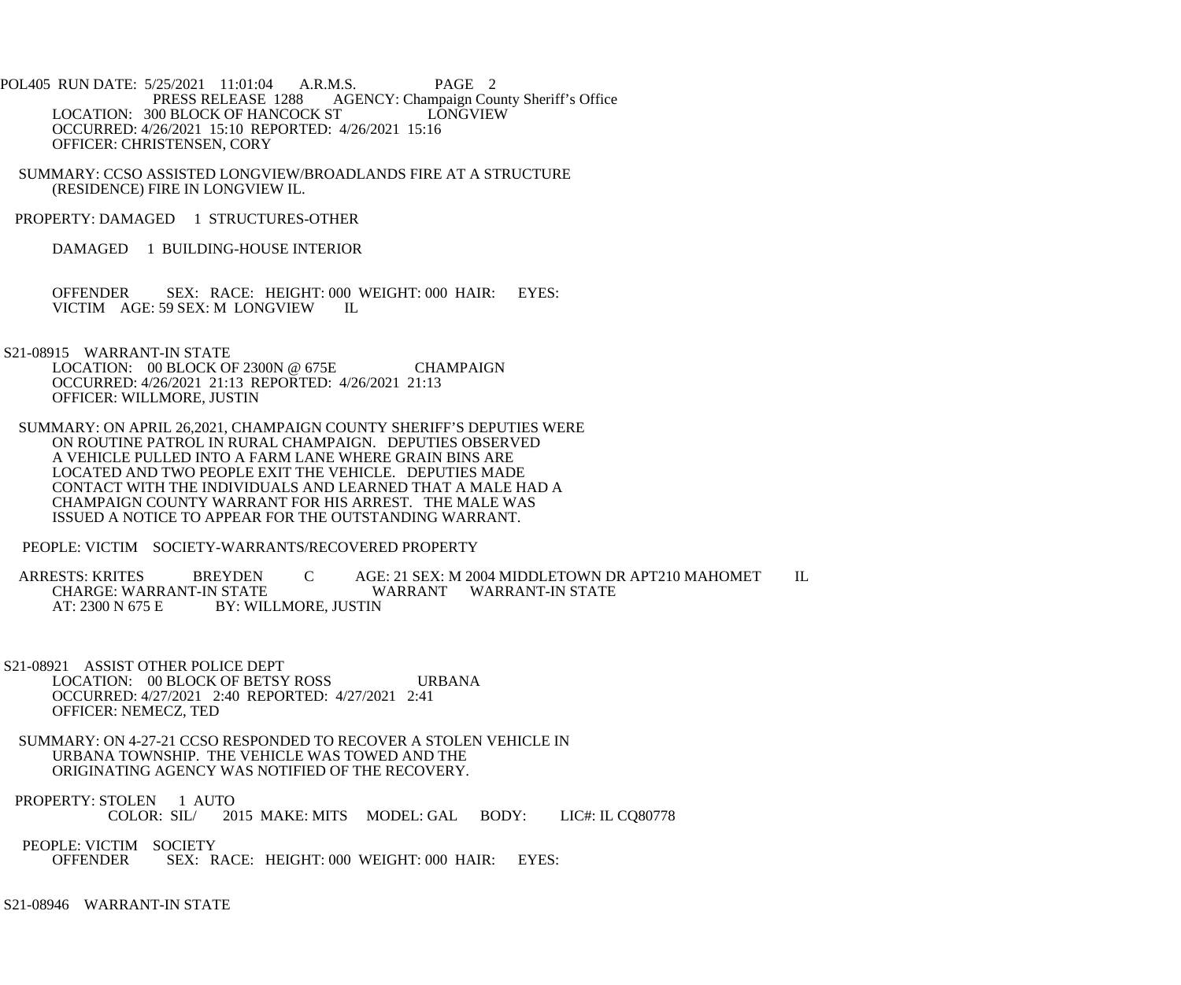- POL405 RUN DATE: 5/25/2021 11:01:04 A.R.M.S. PAGE 2<br>PRESS RELEASE 1288 AGENCY: Champaign Cou AGENCY: Champaign County Sheriff's Office<br>
FIGNGVIEW LOCATION: 300 BLOCK OF HANCOCK ST OCCURRED: 4/26/2021 15:10 REPORTED: 4/26/2021 15:16 OFFICER: CHRISTENSEN, CORY
- SUMMARY: CCSO ASSISTED LONGVIEW/BROADLANDS FIRE AT A STRUCTURE (RESIDENCE) FIRE IN LONGVIEW IL.
- PROPERTY: DAMAGED 1 STRUCTURES-OTHER
	- DAMAGED 1 BUILDING-HOUSE INTERIOR
	- OFFENDER SEX: RACE: HEIGHT: 000 WEIGHT: 000 HAIR: EYES: VICTIM AGE: 59 SEX: M LONGVIEW IL
- S21-08915 WARRANT-IN STATE
	- LOCATION: 00 BLOCK OF 2300N @ 675E CHAMPAIGN OCCURRED: 4/26/2021 21:13 REPORTED: 4/26/2021 21:13 OFFICER: WILLMORE, JUSTIN
	- SUMMARY: ON APRIL 26,2021, CHAMPAIGN COUNTY SHERIFF'S DEPUTIES WERE ON ROUTINE PATROL IN RURAL CHAMPAIGN. DEPUTIES OBSERVED A VEHICLE PULLED INTO A FARM LANE WHERE GRAIN BINS ARE LOCATED AND TWO PEOPLE EXIT THE VEHICLE. DEPUTIES MADE CONTACT WITH THE INDIVIDUALS AND LEARNED THAT A MALE HAD A CHAMPAIGN COUNTY WARRANT FOR HIS ARREST. THE MALE WAS ISSUED A NOTICE TO APPEAR FOR THE OUTSTANDING WARRANT.
	- PEOPLE: VICTIM SOCIETY-WARRANTS/RECOVERED PROPERTY
	- ARRESTS: KRITES BREYDEN C AGE: 21 SEX: M 2004 MIDDLETOWN DR APT210 MAHOMET IL CHARGE: WARRANT-IN STATE WARRANT WARRANT-IN STATE AT: 2300 N 675 E BY: WILLMORE, JUSTIN
- S21-08921 ASSIST OTHER POLICE DEPT LOCATION: 00 BLOCK OF BETSY ROSS URBANA OCCURRED: 4/27/2021 2:40 REPORTED: 4/27/2021 2:41 OFFICER: NEMECZ, TED
- SUMMARY: ON 4-27-21 CCSO RESPONDED TO RECOVER A STOLEN VEHICLE IN URBANA TOWNSHIP. THE VEHICLE WAS TOWED AND THE ORIGINATING AGENCY WAS NOTIFIED OF THE RECOVERY.
- PROPERTY: STOLEN 1 AUTO<br>COLOR: SIL/20 2015 MAKE: MITS MODEL: GAL BODY: LIC#: IL CQ80778
- PEOPLE: VICTIM SOCIETY<br>OFFENDER SEX: R SEX: RACE: HEIGHT: 000 WEIGHT: 000 HAIR: EYES:

S21-08946 WARRANT-IN STATE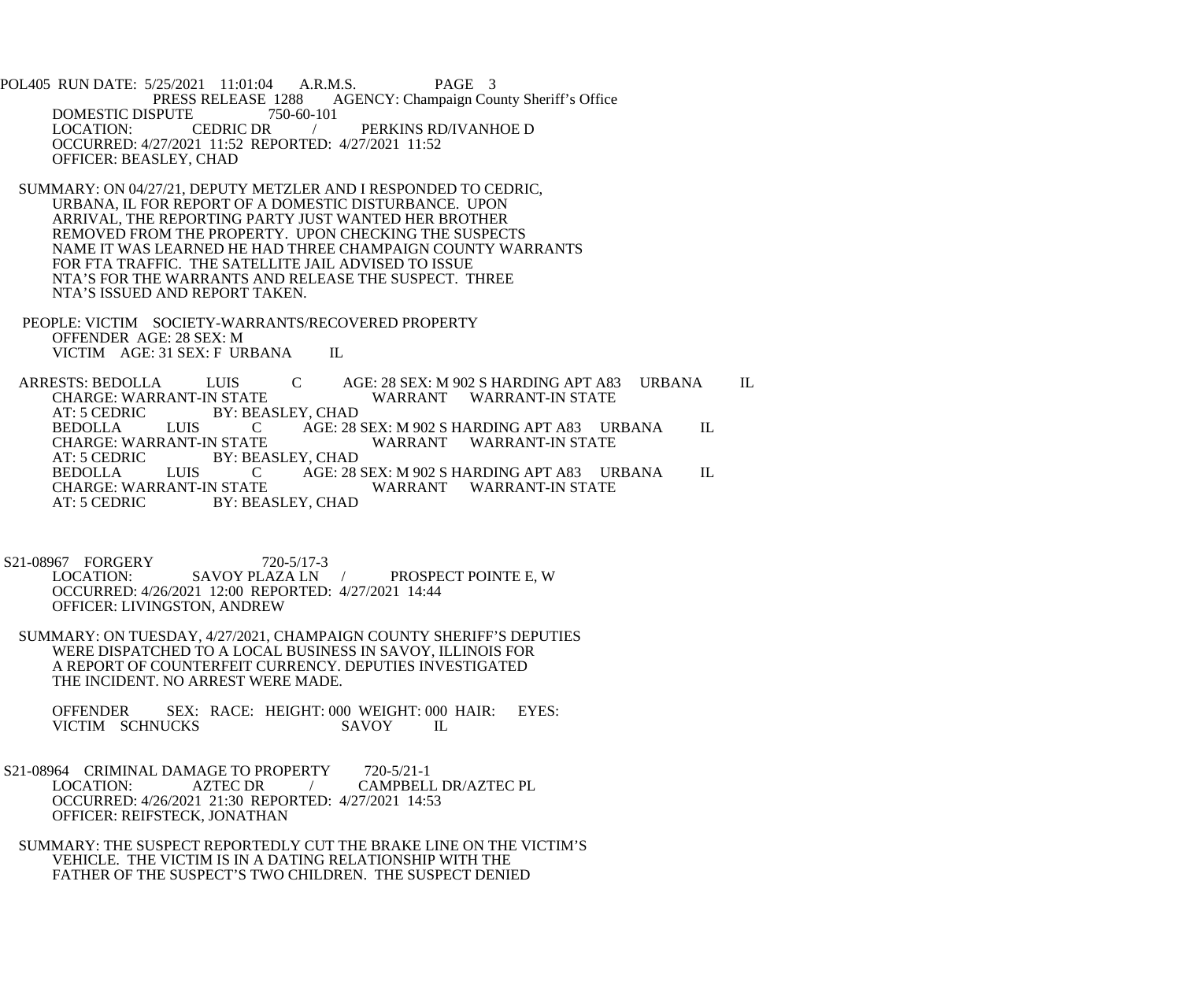POL405 RUN DATE: 5/25/2021 11:01:04 A.R.M.S. PAGE 3<br>PRESS RELEASE 1288 AGENCY: Champaign Cou 1288 AGENCY: Champaign County Sheriff's Office<br>750-60-101 DOMESTIC DISPUTE 7<br>LOCATION: CEDRIC DR PERKINS RD/IVANHOE D OCCURRED: 4/27/2021 11:52 REPORTED: 4/27/2021 11:52 OFFICER: BEASLEY, CHAD

- SUMMARY: ON 04/27/21, DEPUTY METZLER AND I RESPONDED TO CEDRIC, URBANA, IL FOR REPORT OF A DOMESTIC DISTURBANCE. UPON ARRIVAL, THE REPORTING PARTY JUST WANTED HER BROTHER REMOVED FROM THE PROPERTY. UPON CHECKING THE SUSPECTS NAME IT WAS LEARNED HE HAD THREE CHAMPAIGN COUNTY WARRANTS FOR FTA TRAFFIC. THE SATELLITE JAIL ADVISED TO ISSUE NTA'S FOR THE WARRANTS AND RELEASE THE SUSPECT. THREE NTA'S ISSUED AND REPORT TAKEN.
- PEOPLE: VICTIM SOCIETY-WARRANTS/RECOVERED PROPERTY OFFENDER AGE: 28 SEX: M VICTIM AGE: 31 SEX: F URBANA IL

ARRESTS: BEDOLLA LUIS C AGE: 28 SEX: M 902 S HARDING APT A83 URBANA IL CHARGE: WARRANT-IN STATE CHARGE: WARRANT-IN STATE WARRANT WARRANT-IN STATE<br>AT: 5 CEDRIC BY: BEASLEY. CHAD AT: 5 CEDRIC BY: BEASLEY, CHAD<br>BEDOLLA LUIS CAGE: 28 BEDOLLA LUIS C AGE: 28 SEX: M 902 S HARDING APT A83 URBANA IL CHARGE: WARRANT-IN STATE WARRANT WARRANT-IN STATE CHARGE: WARRANT-IN STATE WARRANT WARRANT-IN STATE<br>AT: 5 CEDRIC BY: BEASLEY, CHAD BY: BEASLEY, CHAD<br>LUIS CAGE: 28 BEDOLLA LUIS C AGE: 28 SEX: M 902 S HARDING APT A83 URBANA IL CHARGE: WARRANT-IN STATE WARRANT WARRANT-IN STATE WARRANT WARRANT-IN STATE AT: 5 CEDRIC BY: BEASLEY, CHAD

S21-08967 FORGERY 720-5/17-3<br>LOCATION: SAVOY PLAZA LN / PROSPECT POINTE E, W OCCURRED: 4/26/2021 12:00 REPORTED: 4/27/2021 14:44 OFFICER: LIVINGSTON, ANDREW

 SUMMARY: ON TUESDAY, 4/27/2021, CHAMPAIGN COUNTY SHERIFF'S DEPUTIES WERE DISPATCHED TO A LOCAL BUSINESS IN SAVOY, ILLINOIS FOR A REPORT OF COUNTERFEIT CURRENCY. DEPUTIES INVESTIGATED THE INCIDENT. NO ARREST WERE MADE.

OFFENDER SEX: RACE: HEIGHT: 000 WEIGHT: 000 HAIR: EYES:<br>VICTIM SCHNUCKS SAVOY IL VICTIM SCHNUCKS

- S21-08964 CRIMINAL DAMAGE TO PROPERTY 720-5/21-1<br>LOCATION: AZTEC DR / CAMPBELI LOCATION: AZTEC DR / CAMPBELL DR/AZTEC PL OCCURRED: 4/26/2021 21:30 REPORTED: 4/27/2021 14:53 OFFICER: REIFSTECK, JONATHAN
	- SUMMARY: THE SUSPECT REPORTEDLY CUT THE BRAKE LINE ON THE VICTIM'S VEHICLE. THE VICTIM IS IN A DATING RELATIONSHIP WITH THE FATHER OF THE SUSPECT'S TWO CHILDREN. THE SUSPECT DENIED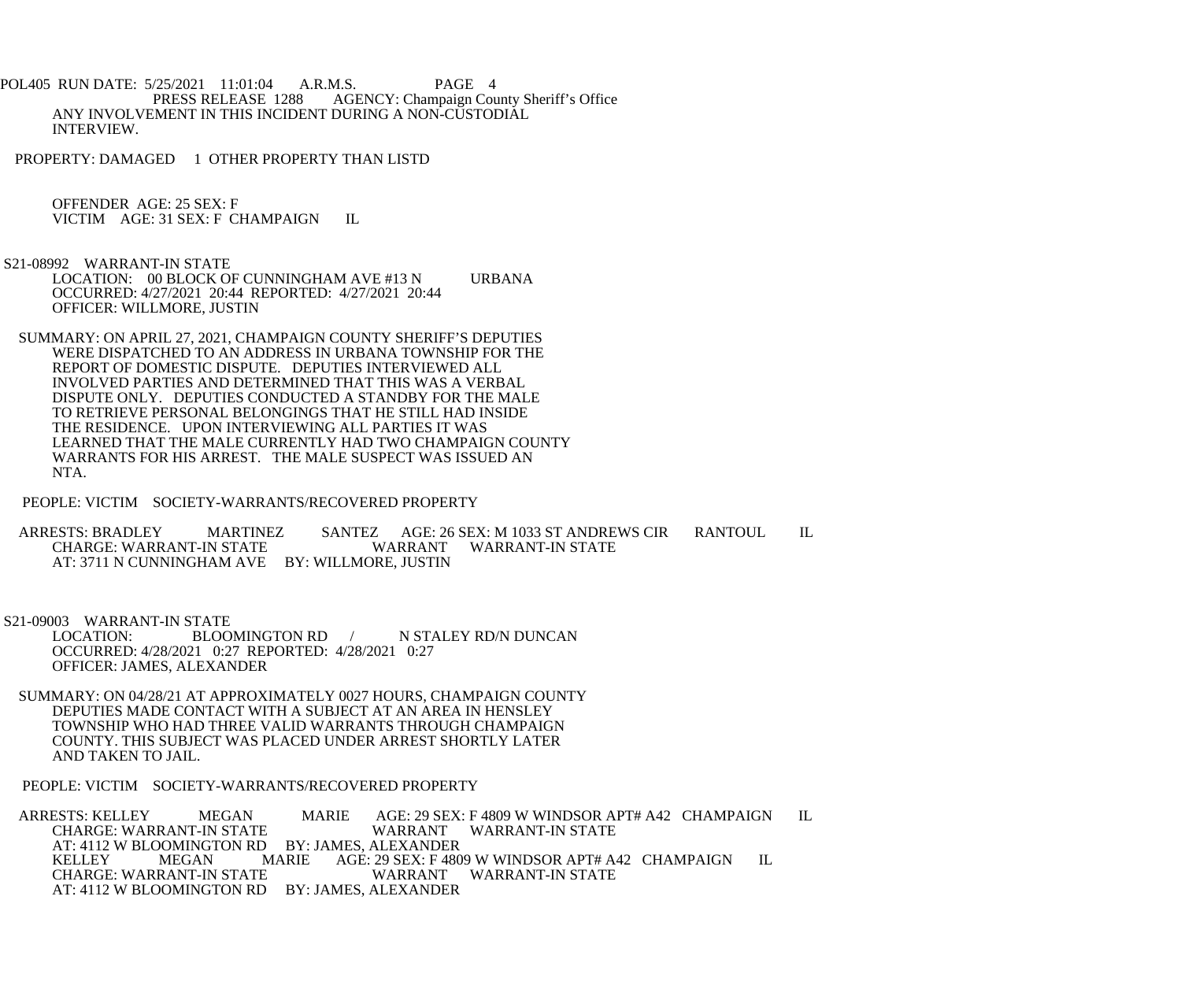POL405 RUN DATE: 5/25/2021 11:01:04 A.R.M.S. PAGE 4<br>PRESS RELEASE 1288 AGENCY: Champaign Cou AGENCY: Champaign County Sheriff's Office ANY INVOLVEMENT IN THIS INCIDENT DURING A NON-CUSTODIAL INTERVIEW.

PROPERTY: DAMAGED 1 OTHER PROPERTY THAN LISTD

 OFFENDER AGE: 25 SEX: F VICTIM AGE: 31 SEX: F CHAMPAIGN IL

S21-08992 WARRANT-IN STATE

LOCATION: 00 BLOCK OF CUNNINGHAM AVE #13 N URBANA OCCURRED: 4/27/2021 20:44 REPORTED: 4/27/2021 20:44 OFFICER: WILLMORE, JUSTIN

 SUMMARY: ON APRIL 27, 2021, CHAMPAIGN COUNTY SHERIFF'S DEPUTIES WERE DISPATCHED TO AN ADDRESS IN URBANA TOWNSHIP FOR THE REPORT OF DOMESTIC DISPUTE. DEPUTIES INTERVIEWED ALL INVOLVED PARTIES AND DETERMINED THAT THIS WAS A VERBAL DISPUTE ONLY. DEPUTIES CONDUCTED A STANDBY FOR THE MALE TO RETRIEVE PERSONAL BELONGINGS THAT HE STILL HAD INSIDE THE RESIDENCE. UPON INTERVIEWING ALL PARTIES IT WAS LEARNED THAT THE MALE CURRENTLY HAD TWO CHAMPAIGN COUNTY WARRANTS FOR HIS ARREST. THE MALE SUSPECT WAS ISSUED AN NTA.

PEOPLE: VICTIM SOCIETY-WARRANTS/RECOVERED PROPERTY

ARRESTS: BRADLEY MARTINEZ SANTEZ AGE: 26 SEX: M 1033 ST ANDREWS CIR RANTOUL IL<br>CHARGE: WARRANT-IN STATE WARRANT WARRANT-IN STATE CHARGE: WARRANT-IN STATE AT: 3711 N CUNNINGHAM AVE BY: WILLMORE, JUSTIN

 S21-09003 WARRANT-IN STATE LOCATION: BLOOMINGTON RD / N STALEY RD/N DUNCAN OCCURRED: 4/28/2021 0:27 REPORTED: 4/28/2021 0:27 OFFICER: JAMES, ALEXANDER

 SUMMARY: ON 04/28/21 AT APPROXIMATELY 0027 HOURS, CHAMPAIGN COUNTY DEPUTIES MADE CONTACT WITH A SUBJECT AT AN AREA IN HENSLEY TOWNSHIP WHO HAD THREE VALID WARRANTS THROUGH CHAMPAIGN COUNTY. THIS SUBJECT WAS PLACED UNDER ARREST SHORTLY LATER AND TAKEN TO JAIL.

PEOPLE: VICTIM SOCIETY-WARRANTS/RECOVERED PROPERTY

 ARRESTS: KELLEY MEGAN MARIE AGE: 29 SEX: F 4809 W WINDSOR APT# A42 CHAMPAIGN IL CHARGE: WARRANT-IN STATE WARRANT WARRANT-IN STATE AT: 4112 W BLOOMINGTON RD BY: JAMES, ALEXANDER<br>KELLEY MEGAN MARIE AGE: 29 SEX: F 480 AGE: 29 SEX: F 4809 W WINDSOR APT# A42 CHAMPAIGN IL WARRANT WARRANT-IN STATE CHARGE: WARRANT-IN STATE AT: 4112 W BLOOMINGTON RD BY: JAMES, ALEXANDER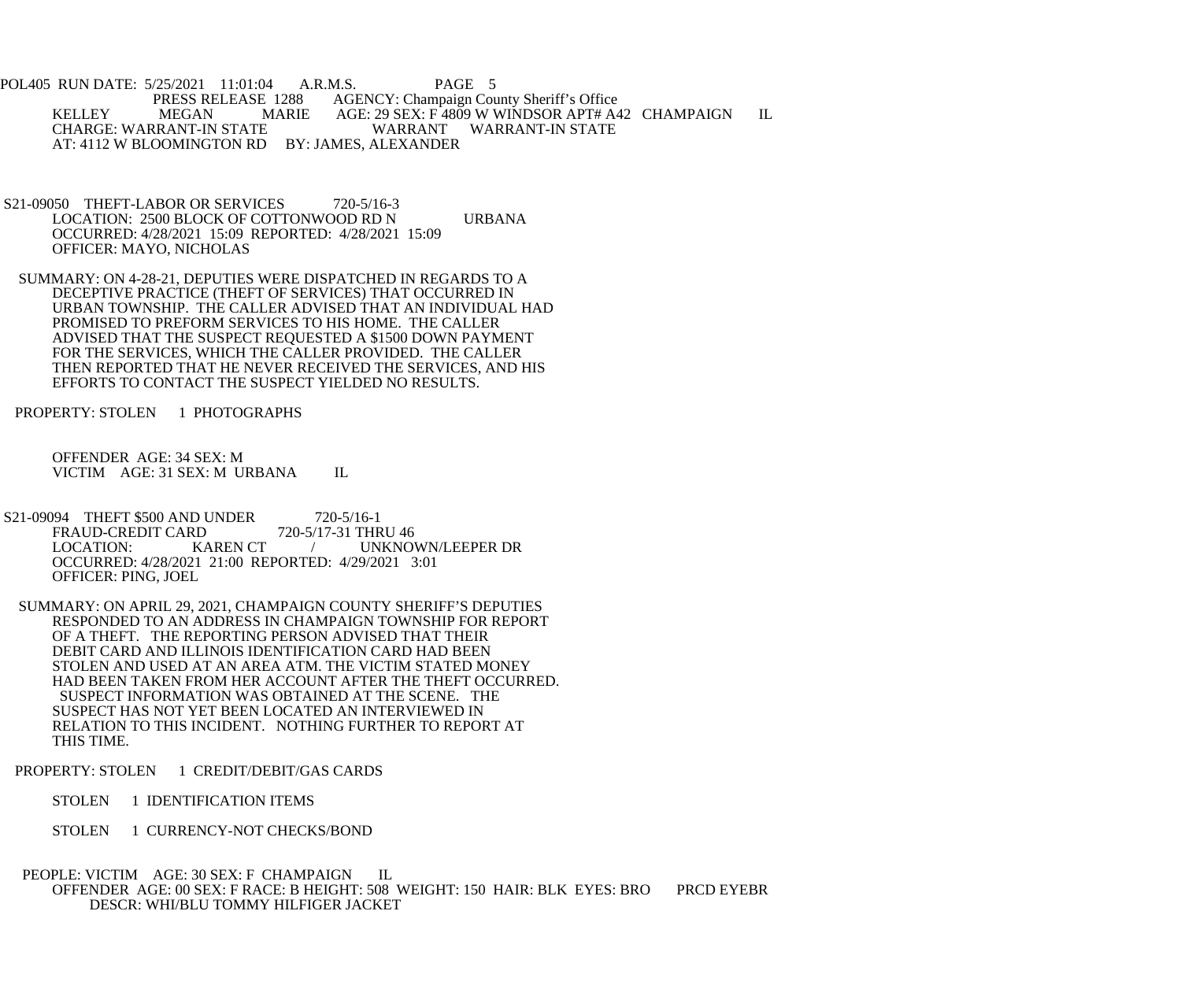POL405 RUN DATE: 5/25/2021 11:01:04 A.R.M.S. PAGE 5 PRESS RELEASE 1288 AGENCY: Champaign County Sheriff's Office<br>MEGAN MARIE AGE: 29 SEX: F 4809 W WINDSOR APT# A4 KELLEY MEGAN MARIE AGE: 29 SEX: F<sup>4809</sup> W WINDSOR APT# A42 CHAMPAIGN IL<br>CHARGE: WARRANT-IN STATE WARRANT WARRANT-IN STATE WARRANT WARRANT-IN STATE AT: 4112 W BLOOMINGTON RD BY: JAMES, ALEXANDER

- S21-09050 THEFT-LABOR OR SERVICES 720-5/16-3 LOCATION: 2500 BLOCK OF COTTONWOOD RD N URBANA OCCURRED: 4/28/2021 15:09 REPORTED: 4/28/2021 15:09 OFFICER: MAYO, NICHOLAS
- SUMMARY: ON 4-28-21, DEPUTIES WERE DISPATCHED IN REGARDS TO A DECEPTIVE PRACTICE (THEFT OF SERVICES) THAT OCCURRED IN URBAN TOWNSHIP. THE CALLER ADVISED THAT AN INDIVIDUAL HAD PROMISED TO PREFORM SERVICES TO HIS HOME. THE CALLER ADVISED THAT THE SUSPECT REQUESTED A \$1500 DOWN PAYMENT FOR THE SERVICES, WHICH THE CALLER PROVIDED. THE CALLER THEN REPORTED THAT HE NEVER RECEIVED THE SERVICES, AND HIS EFFORTS TO CONTACT THE SUSPECT YIELDED NO RESULTS.

PROPERTY: STOLEN 1 PHOTOGRAPHS

 OFFENDER AGE: 34 SEX: M VICTIM AGE: 31 SEX: M URBANA IL

- S21-09094 THEFT \$500 AND UNDER 720-5/16-1<br>FRAUD-CREDIT CARD 720-5/17-31 THRU 46 FRAUD-CREDIT CARD<br>LOCATION: KAREN CT / UNKNOWN/LEEPER DR OCCURRED: 4/28/2021 21:00 REPORTED: 4/29/2021 3:01 OFFICER: PING, JOEL
- SUMMARY: ON APRIL 29, 2021, CHAMPAIGN COUNTY SHERIFF'S DEPUTIES RESPONDED TO AN ADDRESS IN CHAMPAIGN TOWNSHIP FOR REPORT OF A THEFT. THE REPORTING PERSON ADVISED THAT THEIR DEBIT CARD AND ILLINOIS IDENTIFICATION CARD HAD BEEN STOLEN AND USED AT AN AREA ATM. THE VICTIM STATED MONEY HAD BEEN TAKEN FROM HER ACCOUNT AFTER THE THEFT OCCURRED. SUSPECT INFORMATION WAS OBTAINED AT THE SCENE. THE SUSPECT HAS NOT YET BEEN LOCATED AN INTERVIEWED IN RELATION TO THIS INCIDENT. NOTHING FURTHER TO REPORT AT THIS TIME.
- PROPERTY: STOLEN 1 CREDIT/DEBIT/GAS CARDS
	- STOLEN 1 IDENTIFICATION ITEMS
	- STOLEN 1 CURRENCY-NOT CHECKS/BOND

## PEOPLE: VICTIM AGE: 30 SEX: F CHAMPAIGN IL OFFENDER AGE: 00 SEX: F RACE: B HEIGHT: 508 WEIGHT: 150 HAIR: BLK EYES: BRO PRCD EYEBR DESCR: WHI/BLU TOMMY HILFIGER JACKET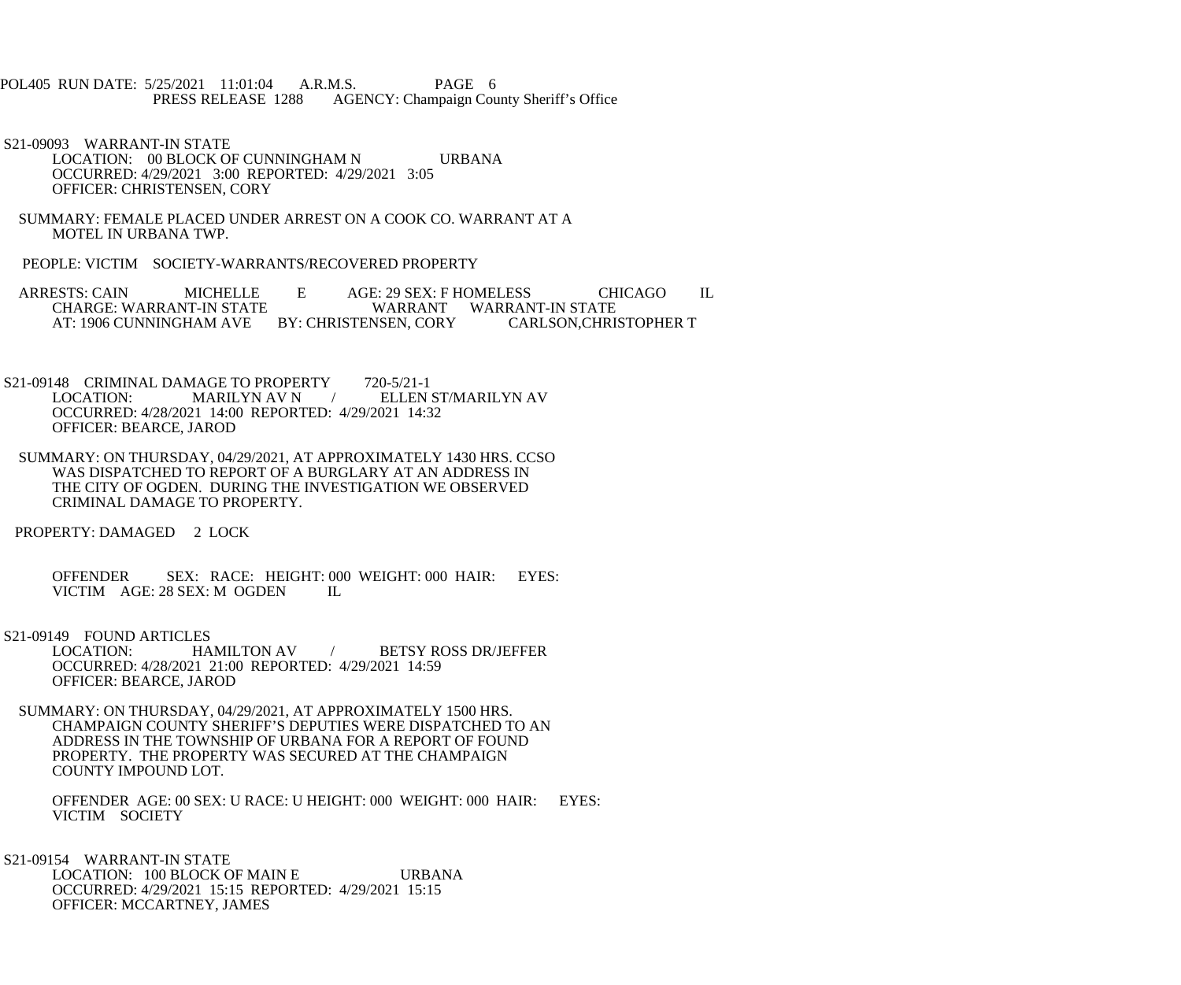- POL405 RUN DATE: 5/25/2021 11:01:04 A.R.M.S. PAGE 6<br>PRESS RELEASE 1288 AGENCY: Champaign Cou AGENCY: Champaign County Sheriff's Office
- S21-09093 WARRANT-IN STATE LOCATION: 00 BLOCK OF CUNNINGHAM N URBANA OCCURRED: 4/29/2021 3:00 REPORTED: 4/29/2021 3:05 OFFICER: CHRISTENSEN, CORY
- SUMMARY: FEMALE PLACED UNDER ARREST ON A COOK CO. WARRANT AT A MOTEL IN URBANA TWP.
- PEOPLE: VICTIM SOCIETY-WARRANTS/RECOVERED PROPERTY
- ARRESTS: CAIN MICHELLE E AGE: 29 SEX: F HOMELESS CHICAGO IL CHARGE: WARRANT WARRANT WARRANT-IN STATE WARRANT WARRANT-IN STATE<br>NSEN. CORY CARLSON.CHRISTOPHER T AT: 1906 CUNNINGHAM AVE BY: CHRISTENSEN, CORY
- S21-09148 CRIMINAL DAMAGE TO PROPERTY 720-5/21-1<br>LOCATION: MARILYN AV N / ELLEN / ELLEN ST/MARILYN AV OCCURRED: 4/28/2021 14:00 REPORTED: 4/29/2021 14:32 OFFICER: BEARCE, JAROD
- SUMMARY: ON THURSDAY, 04/29/2021, AT APPROXIMATELY 1430 HRS. CCSO WAS DISPATCHED TO REPORT OF A BURGLARY AT AN ADDRESS IN THE CITY OF OGDEN. DURING THE INVESTIGATION WE OBSERVED CRIMINAL DAMAGE TO PROPERTY.
- PROPERTY: DAMAGED 2 LOCK
	- OFFENDER SEX: RACE: HEIGHT: 000 WEIGHT: 000 HAIR: EYES: VICTIM AGE: 28 SEX: M OGDEN IL
- 
- S21-09149 FOUND ARTICLES<br>LOCATION: HAMILTON AV / BETSY ROSS DR/JEFFER OCCURRED: 4/28/2021 21:00 REPORTED: 4/29/2021 14:59 OFFICER: BEARCE, JAROD
- SUMMARY: ON THURSDAY, 04/29/2021, AT APPROXIMATELY 1500 HRS. CHAMPAIGN COUNTY SHERIFF'S DEPUTIES WERE DISPATCHED TO AN ADDRESS IN THE TOWNSHIP OF URBANA FOR A REPORT OF FOUND PROPERTY. THE PROPERTY WAS SECURED AT THE CHAMPAIGN COUNTY IMPOUND LOT.
	- OFFENDER AGE: 00 SEX: U RACE: U HEIGHT: 000 WEIGHT: 000 HAIR: EYES: VICTIM SOCIETY
- S21-09154 WARRANT-IN STATE LOCATION: 100 BLOCK OF MAIN E URBANA OCCURRED: 4/29/2021 15:15 REPORTED: 4/29/2021 15:15 OFFICER: MCCARTNEY, JAMES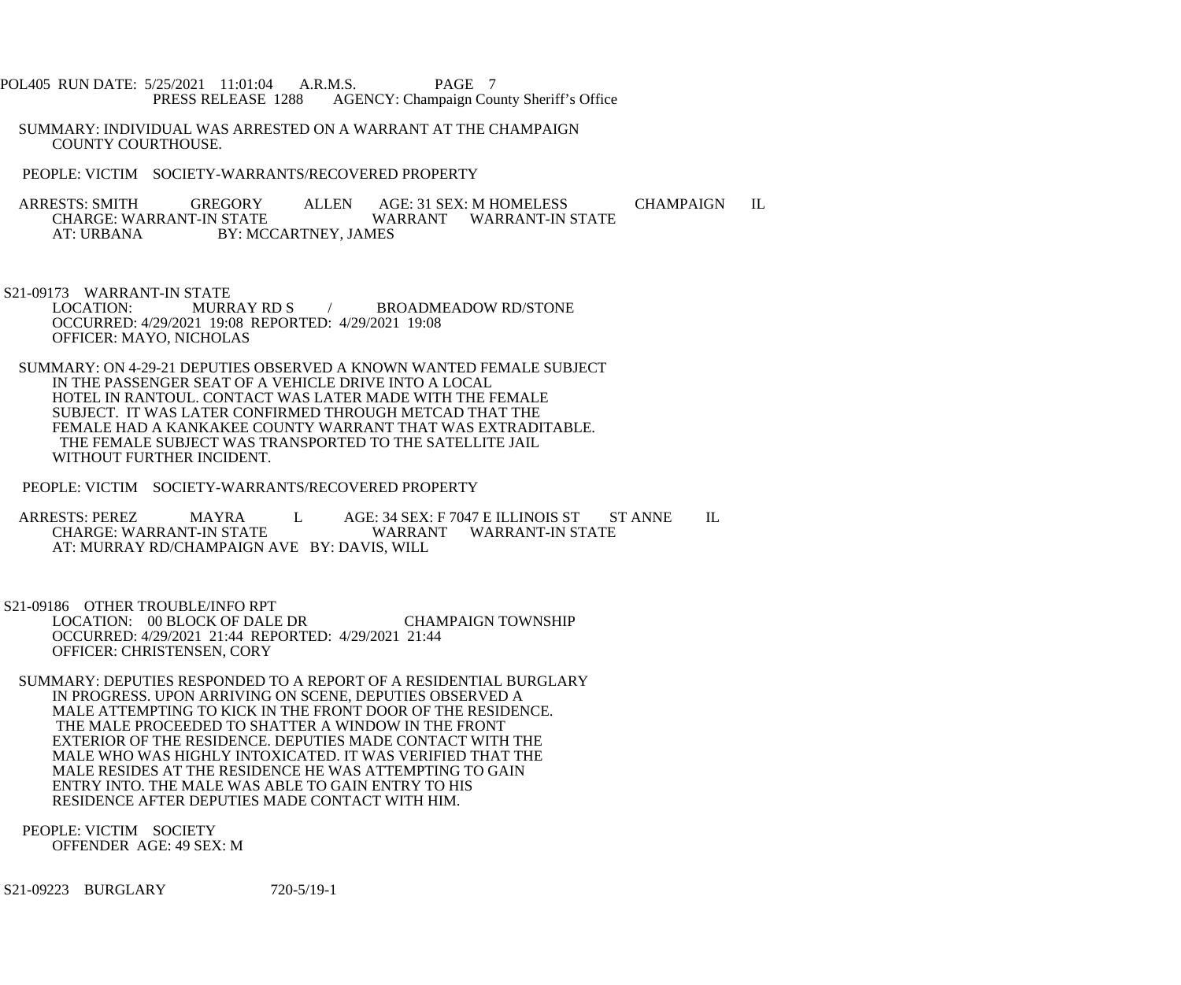- POL405 RUN DATE: 5/25/2021 11:01:04 A.R.M.S. PAGE 7<br>PRESS RELEASE 1288 AGENCY: Champaign Cou AGENCY: Champaign County Sheriff's Office
- SUMMARY: INDIVIDUAL WAS ARRESTED ON A WARRANT AT THE CHAMPAIGN COUNTY COURTHOUSE.
- PEOPLE: VICTIM SOCIETY-WARRANTS/RECOVERED PROPERTY
- ARRESTS: SMITH GREGORY ALLEN AGE: 31 SEX: M HOMELESS CHAMPAIGN IL CHARGE: WARRANT-IN STATE CHARGE: WARRANT-IN STATE WARRANT WARRANT-IN STATE<br>AT: URBANA BY: MCCARTNEY. JAMES BY: MCCARTNEY, JAMES
- S21-09173 WARRANT-IN STATE<br>LOCATION: MURRAY RD S / BROADMEADOW RD/STONE OCCURRED: 4/29/2021 19:08 REPORTED: 4/29/2021 19:08 OFFICER: MAYO, NICHOLAS
- SUMMARY: ON 4-29-21 DEPUTIES OBSERVED A KNOWN WANTED FEMALE SUBJECT IN THE PASSENGER SEAT OF A VEHICLE DRIVE INTO A LOCAL HOTEL IN RANTOUL. CONTACT WAS LATER MADE WITH THE FEMALE SUBJECT. IT WAS LATER CONFIRMED THROUGH METCAD THAT THE FEMALE HAD A KANKAKEE COUNTY WARRANT THAT WAS EXTRADITABLE. THE FEMALE SUBJECT WAS TRANSPORTED TO THE SATELLITE JAIL WITHOUT FURTHER INCIDENT.
- PEOPLE: VICTIM SOCIETY-WARRANTS/RECOVERED PROPERTY
- ARRESTS: PEREZ MAYRA L AGE: 34 SEX: F 7047 E ILLINOIS ST ST ANNE IL CHARGE: WARRANT-IN STATE WARRANT WARRANT-IN STATE AT: MURRAY RD/CHAMPAIGN AVE BY: DAVIS, WILL
- S21-09186 OTHER TROUBLE/INFO RPT LOCATION: 00 BLOCK OF DALE DR CHAMPAIGN TOWNSHIP OCCURRED: 4/29/2021 21:44 REPORTED: 4/29/2021 21:44 OFFICER: CHRISTENSEN, CORY
- SUMMARY: DEPUTIES RESPONDED TO A REPORT OF A RESIDENTIAL BURGLARY IN PROGRESS. UPON ARRIVING ON SCENE, DEPUTIES OBSERVED A MALE ATTEMPTING TO KICK IN THE FRONT DOOR OF THE RESIDENCE. THE MALE PROCEEDED TO SHATTER A WINDOW IN THE FRONT EXTERIOR OF THE RESIDENCE. DEPUTIES MADE CONTACT WITH THE MALE WHO WAS HIGHLY INTOXICATED. IT WAS VERIFIED THAT THE MALE RESIDES AT THE RESIDENCE HE WAS ATTEMPTING TO GAIN ENTRY INTO. THE MALE WAS ABLE TO GAIN ENTRY TO HIS RESIDENCE AFTER DEPUTIES MADE CONTACT WITH HIM.
- PEOPLE: VICTIM SOCIETY OFFENDER AGE: 49 SEX: M
- S21-09223 BURGLARY 720-5/19-1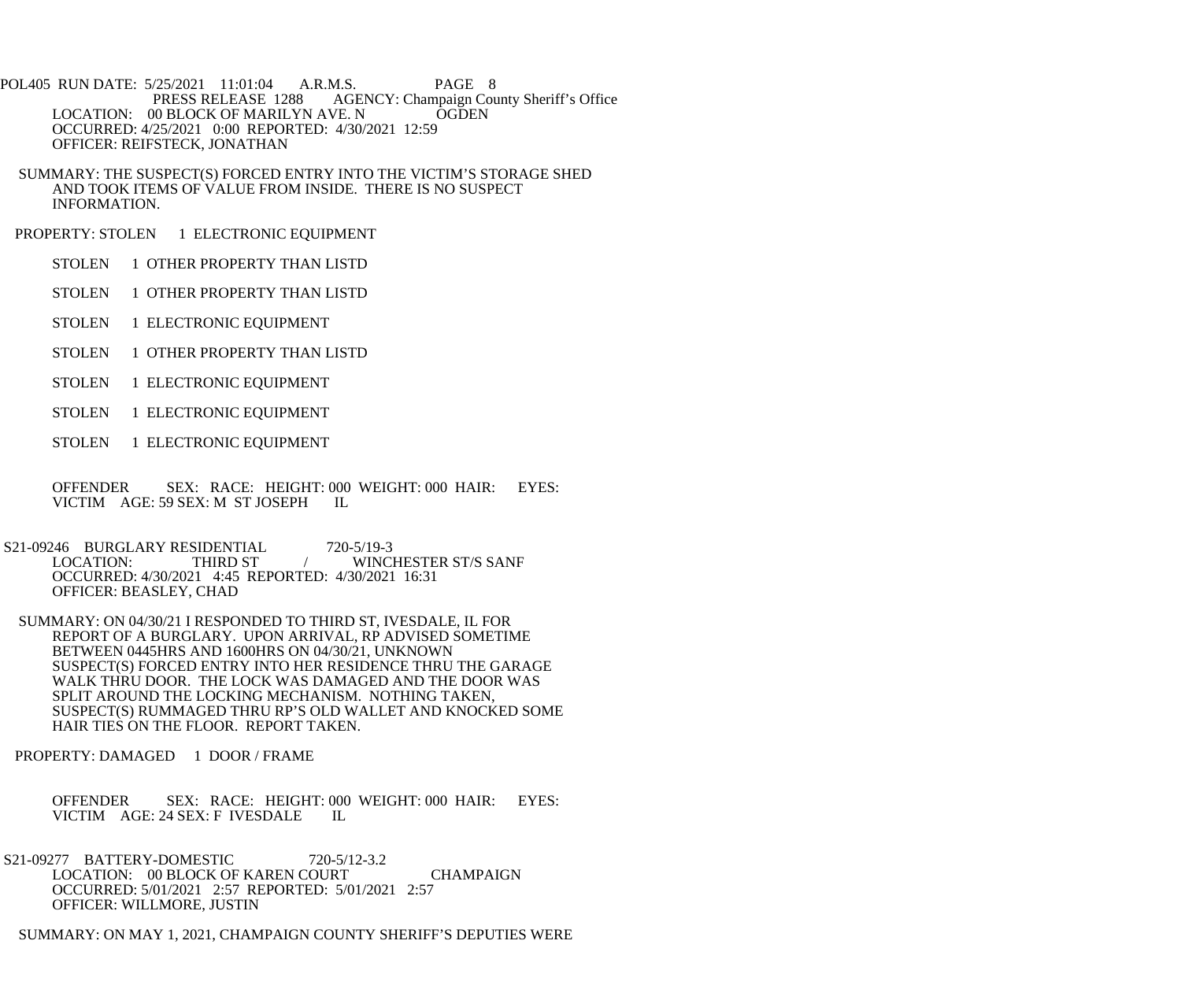POL405 RUN DATE: 5/25/2021 11:01:04 A.R.M.S. PAGE 8 PRESS RELEASE 1288 AGENCY: Champaign County Sheriff's Office LOCATION: 00 BLOCK OF MARILYN AVE. N OGDEN OCCURRED: 4/25/2021 0:00 REPORTED: 4/30/2021 12:59 OFFICER: REIFSTECK, JONATHAN

 SUMMARY: THE SUSPECT(S) FORCED ENTRY INTO THE VICTIM'S STORAGE SHED AND TOOK ITEMS OF VALUE FROM INSIDE. THERE IS NO SUSPECT INFORMATION.

PROPERTY: STOLEN 1 ELECTRONIC EQUIPMENT

STOLEN 1 OTHER PROPERTY THAN LISTD

STOLEN 1 OTHER PROPERTY THAN LISTD

STOLEN 1 ELECTRONIC EQUIPMENT

STOLEN 1 OTHER PROPERTY THAN LISTD

STOLEN 1 ELECTRONIC EQUIPMENT

STOLEN 1 ELECTRONIC EQUIPMENT

STOLEN 1 ELECTRONIC EQUIPMENT

 OFFENDER SEX: RACE: HEIGHT: 000 WEIGHT: 000 HAIR: EYES: VICTIM AGE: 59 SEX: M ST JOSEPH IL

S21-09246 BURGLARY RESIDENTIAL 720-5/19-3<br>LOCATION: THIRD ST / WINCI WINCHESTER ST/S SANF OCCURRED: 4/30/2021 4:45 REPORTED: 4/30/2021 16:31 OFFICER: BEASLEY, CHAD

 SUMMARY: ON 04/30/21 I RESPONDED TO THIRD ST, IVESDALE, IL FOR REPORT OF A BURGLARY. UPON ARRIVAL, RP ADVISED SOMETIME BETWEEN 0445HRS AND 1600HRS ON 04/30/21, UNKNOWN SUSPECT(S) FORCED ENTRY INTO HER RESIDENCE THRU THE GARAGE WALK THRU DOOR. THE LOCK WAS DAMAGED AND THE DOOR WAS SPLIT AROUND THE LOCKING MECHANISM. NOTHING TAKEN, SUSPECT(S) RUMMAGED THRU RP'S OLD WALLET AND KNOCKED SOME HAIR TIES ON THE FLOOR. REPORT TAKEN.

PROPERTY: DAMAGED 1 DOOR / FRAME

 OFFENDER SEX: RACE: HEIGHT: 000 WEIGHT: 000 HAIR: EYES: VICTIM AGE: 24 SEX: F IVESDALE IL

S21-09277 BATTERY-DOMESTIC 720-5/12-3.2 LOCATION: 00 BLOCK OF KAREN COURT CHAMPAIGN OCCURRED: 5/01/2021 2:57 REPORTED: 5/01/2021 2:57 OFFICER: WILLMORE, JUSTIN

SUMMARY: ON MAY 1, 2021, CHAMPAIGN COUNTY SHERIFF'S DEPUTIES WERE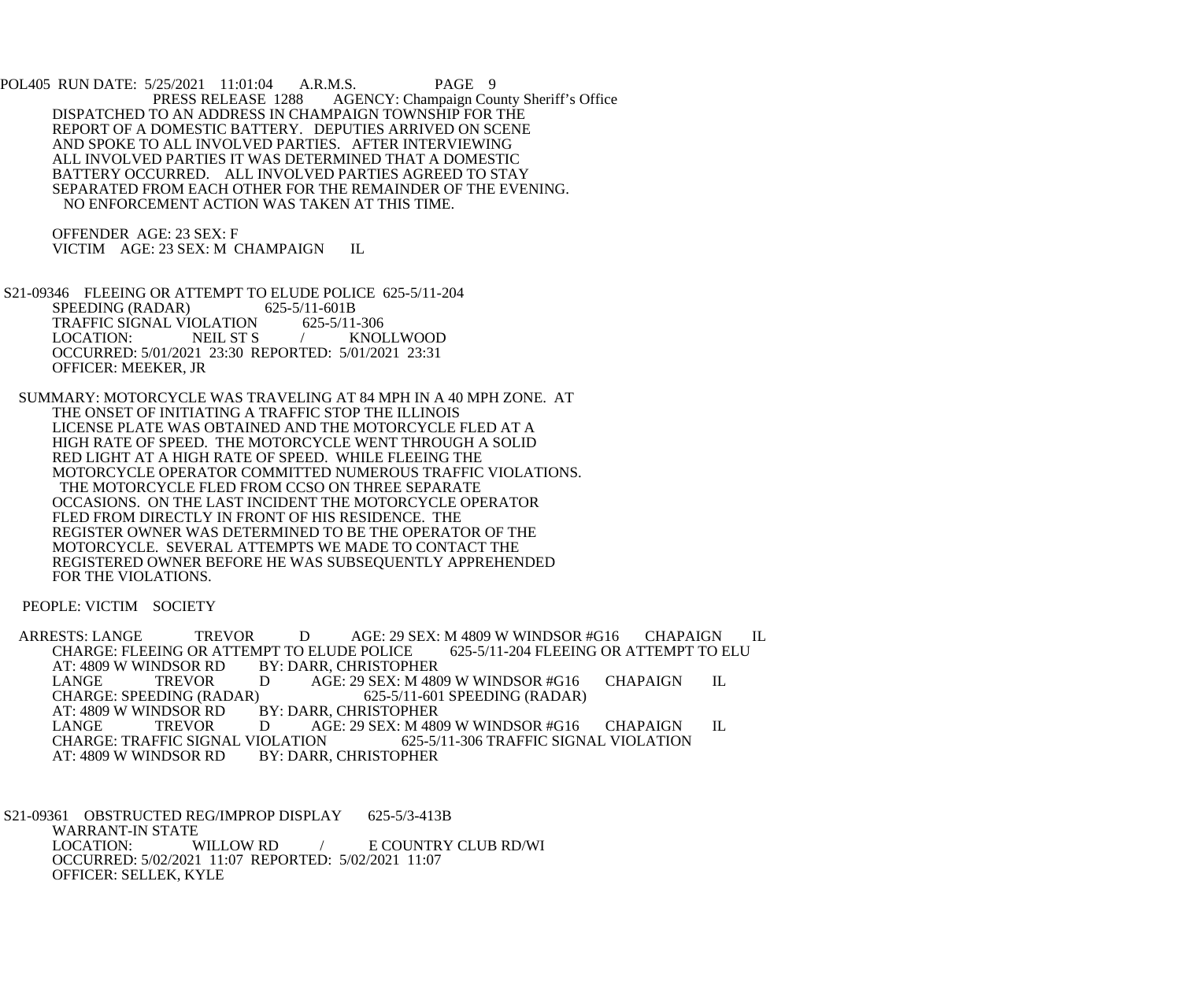POL405 RUN DATE: 5/25/2021 11:01:04 A.R.M.S. PAGE 9<br>PRESS RELEASE 1288 AGENCY: Champaign Cou AGENCY: Champaign County Sheriff's Office DISPATCHED TO AN ADDRESS IN CHAMPAIGN TOWNSHIP FOR THE REPORT OF A DOMESTIC BATTERY. DEPUTIES ARRIVED ON SCENE AND SPOKE TO ALL INVOLVED PARTIES. AFTER INTERVIEWING ALL INVOLVED PARTIES IT WAS DETERMINED THAT A DOMESTIC BATTERY OCCURRED. ALL INVOLVED PARTIES AGREED TO STAY SEPARATED FROM EACH OTHER FOR THE REMAINDER OF THE EVENING. NO ENFORCEMENT ACTION WAS TAKEN AT THIS TIME.

 OFFENDER AGE: 23 SEX: F VICTIM AGE: 23 SEX: M CHAMPAIGN IL

 S21-09346 FLEEING OR ATTEMPT TO ELUDE POLICE 625-5/11-204 SPEEDING (RADAR) 625-5/11-601B<br>TRAFFIC SIGNAL VIOLATION 625-5/11-306 TRAFFIC SIGNAL VIOLATION LOCATION: NEIL ST S / KNOLLWOOD OCCURRED: 5/01/2021 23:30 REPORTED: 5/01/2021 23:31 OFFICER: MEEKER, JR

 SUMMARY: MOTORCYCLE WAS TRAVELING AT 84 MPH IN A 40 MPH ZONE. AT THE ONSET OF INITIATING A TRAFFIC STOP THE ILLINOIS LICENSE PLATE WAS OBTAINED AND THE MOTORCYCLE FLED AT A HIGH RATE OF SPEED. THE MOTORCYCLE WENT THROUGH A SOLID RED LIGHT AT A HIGH RATE OF SPEED. WHILE FLEEING THE MOTORCYCLE OPERATOR COMMITTED NUMEROUS TRAFFIC VIOLATIONS. THE MOTORCYCLE FLED FROM CCSO ON THREE SEPARATE OCCASIONS. ON THE LAST INCIDENT THE MOTORCYCLE OPERATOR FLED FROM DIRECTLY IN FRONT OF HIS RESIDENCE. THE REGISTER OWNER WAS DETERMINED TO BE THE OPERATOR OF THE MOTORCYCLE. SEVERAL ATTEMPTS WE MADE TO CONTACT THE REGISTERED OWNER BEFORE HE WAS SUBSEQUENTLY APPREHENDED FOR THE VIOLATIONS.

PEOPLE: VICTIM SOCIETY

ARRESTS: LANGE TREVOR DAGE: 29 SEX: M 4809 W WINDSOR #G16 CHAPAIGN IL<br>CHARGE: FLEEING OR ATTEMPT TO ELUDE POLICE 625-5/11-204 FLEEING OR ATTEMPT TO ELU CHARGE: FLEEING OR ATTEMPT TO ELUDE POLICE<br>AT: 4809 W WINDSOR RD BY: DARR. CHRISTOPH AT: 4809 W WINDSOR RD BY: DARR, CHRISTOPHER<br>LANGE TREVOR D AGE: 29 SEX: M 480 LANGE TREVOR D AGE: 29 SEX: M 4809 W WINDSOR #G16 CHAPAIGN IL<br>CHARGE: SPEEDING (RADAR) 625-5/11-601 SPEEDING (RADAR) CHARGE: SPEEDING (RADAR) 625-5/11-601 SPEEDING (RADAR)<br>AT: 4809 W WINDSOR RD BY: DARR, CHRISTOPHER NDSOR RD BY: DARR, CHRISTOPHER<br>TREVOR D AGE: 29 SEX: M 480 LANGE TREVOR D AGE: 29 SEX: M 4809 W WINDSOR #G16 CHAPAIGN IL<br>CHARGE: TRAFFIC SIGNAL VIOLATION 625-5/11-306 TRAFFIC SIGNAL VIOLATION CHARGE: TRAFFIC SIGNAL VIOLATION 625-5/11-306 TRAFFIC SIGNAL VIOLATION<br>AT: 4809 W WINDSOR RD BY: DARR. CHRISTOPHER BY: DARR, CHRISTOPHER

 S21-09361 OBSTRUCTED REG/IMPROP DISPLAY 625-5/3-413B WARRANT-IN STATE WILLOW RD  $/$  E COUNTRY CLUB RD/WI OCCURRED: 5/02/2021 11:07 REPORTED: 5/02/2021 11:07 OFFICER: SELLEK, KYLE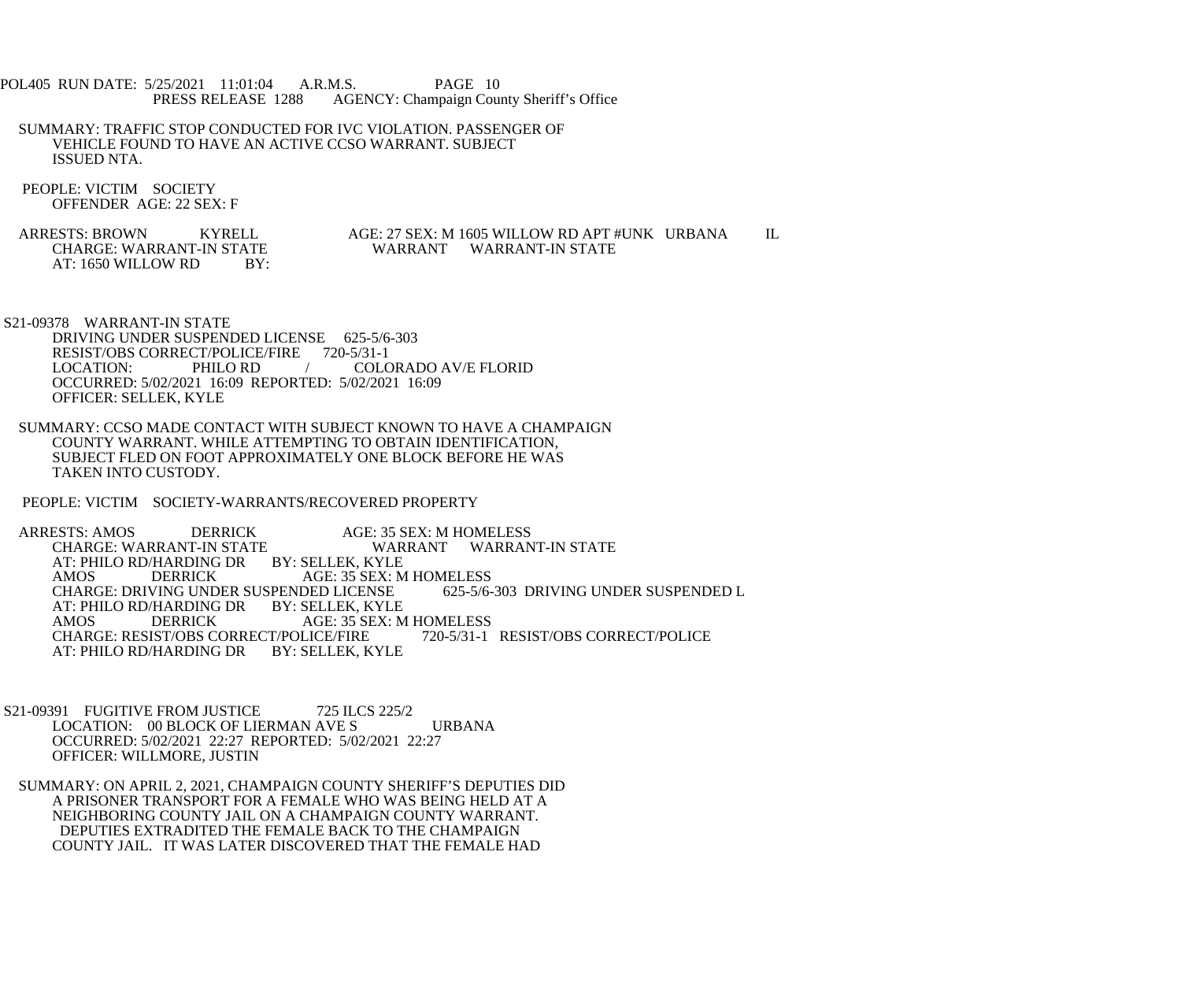- POL405 RUN DATE: 5/25/2021 11:01:04 A.R.M.S. PAGE 10<br>PRESS RELEASE 1288 AGENCY: Champaign Cou AGENCY: Champaign County Sheriff's Office
- SUMMARY: TRAFFIC STOP CONDUCTED FOR IVC VIOLATION. PASSENGER OF VEHICLE FOUND TO HAVE AN ACTIVE CCSO WARRANT. SUBJECT ISSUED NTA.
- PEOPLE: VICTIM SOCIETY OFFENDER AGE: 22 SEX: F
- ARRESTS: BROWN KYRELL AGE: 27 SEX: M 1605 WILLOW RD APT #UNK URBANA IL CHARGE: WARRANT-IN STATE AND ALL CHARGE WARRANT WARRANT WARRANT-IN STATE AT: 1650 WILLOW RD BY:

WARRANT WARRANT-IN STATE

S21-09378 WARRANT-IN STATE

 DRIVING UNDER SUSPENDED LICENSE 625-5/6-303 RESIST/OBS CORRECT/POLICE/FIRE 720-5/31-1<br>LOCATION: PHILO RD / COLC COLORADO AV/E FLORID OCCURRED: 5/02/2021 16:09 REPORTED: 5/02/2021 16:09 OFFICER: SELLEK, KYLE

 SUMMARY: CCSO MADE CONTACT WITH SUBJECT KNOWN TO HAVE A CHAMPAIGN COUNTY WARRANT. WHILE ATTEMPTING TO OBTAIN IDENTIFICATION, SUBJECT FLED ON FOOT APPROXIMATELY ONE BLOCK BEFORE HE WAS TAKEN INTO CUSTODY.

PEOPLE: VICTIM SOCIETY-WARRANTS/RECOVERED PROPERTY

 ARRESTS: AMOS DERRICK AGE: 35 SEX: M HOMELESS WARRANT WARRANT-IN STATE AT: PHILO RD/HARDING DR BY: SELLEK, KYLE<br>AMOS DERRICK AGE: 35 SEX: M AMOS DERRICK AGE: 35 SEX: M HOMELESS<br>CHARGE: DRIVING UNDER SUSPENDED LICENSE 625-5/6-303 DRIVING UNDER SUSPENDED L CHARGE: DRIVING UNDER SUSPENDED LICENSE AT: PHILO RD/HARDING DR BY: SELLEK, KYLE<br>AMOS DERRICK AGE: 35 SEX: M AMOS DERRICK AGE: 35 SEX: M HOMELESS CHARGE: RESIST/OBS CORRECT/POLICE/FIRE AT: PHILO RD/HARDING DR BY: SELLEK, KYLE

- S21-09391 FUGITIVE FROM JUSTICE 725 ILCS 225/2 LOCATION: 00 BLOCK OF LIERMAN AVE S URBANA OCCURRED: 5/02/2021 22:27 REPORTED: 5/02/2021 22:27 OFFICER: WILLMORE, JUSTIN
- SUMMARY: ON APRIL 2, 2021, CHAMPAIGN COUNTY SHERIFF'S DEPUTIES DID A PRISONER TRANSPORT FOR A FEMALE WHO WAS BEING HELD AT A NEIGHBORING COUNTY JAIL ON A CHAMPAIGN COUNTY WARRANT. DEPUTIES EXTRADITED THE FEMALE BACK TO THE CHAMPAIGN COUNTY JAIL. IT WAS LATER DISCOVERED THAT THE FEMALE HAD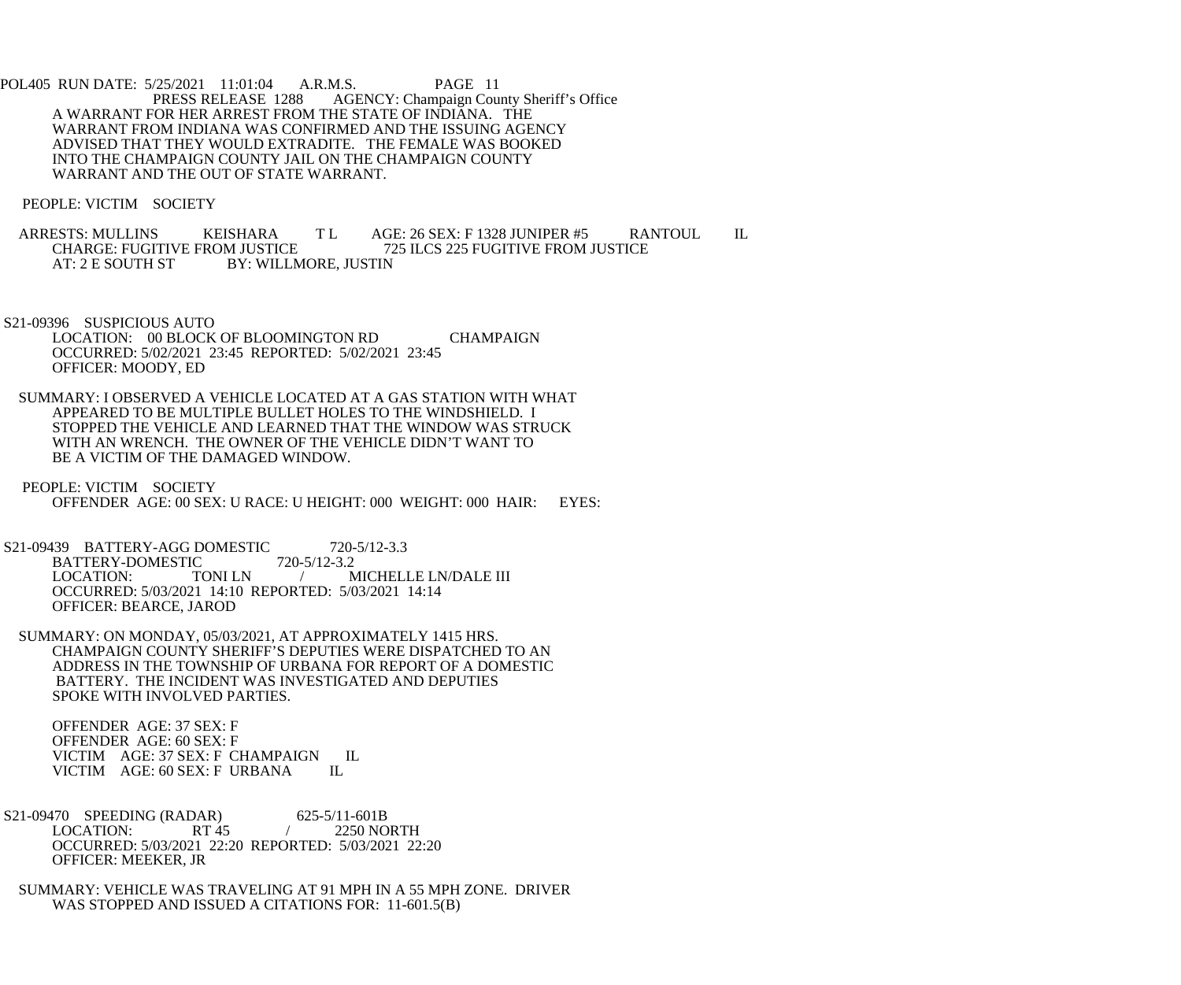POL405 RUN DATE: 5/25/2021 11:01:04 A.R.M.S. PAGE 11<br>PRESS RELEASE 1288 AGENCY: Champaign Cou AGENCY: Champaign County Sheriff's Office A WARRANT FOR HER ARREST FROM THE STATE OF INDIANA. THE WARRANT FROM INDIANA WAS CONFIRMED AND THE ISSUING AGENCY ADVISED THAT THEY WOULD EXTRADITE. THE FEMALE WAS BOOKED INTO THE CHAMPAIGN COUNTY JAIL ON THE CHAMPAIGN COUNTY WARRANT AND THE OUT OF STATE WARRANT.

PEOPLE: VICTIM SOCIETY

ARRESTS: MULLINS KEISHARA T L AGE: 26 SEX: F 1328 JUNIPER #5 RANTOUL IL<br>CHARGE: FUGITIVE FROM JUSTICE 725 ILCS 225 FUGITIVE FROM JUSTICE CHARGE: FUGITIVE FROM JUSTICE<br>AT: 2 E SOUTH ST BY: WILLMORE. JUSTIN BY: WILLMORE, JUSTIN

 S21-09396 SUSPICIOUS AUTO LOCATION: 00 BLOCK OF BLOOMINGTON RD CHAMPAIGN OCCURRED: 5/02/2021 23:45 REPORTED: 5/02/2021 23:45 OFFICER: MOODY, ED

 SUMMARY: I OBSERVED A VEHICLE LOCATED AT A GAS STATION WITH WHAT APPEARED TO BE MULTIPLE BULLET HOLES TO THE WINDSHIELD. I STOPPED THE VEHICLE AND LEARNED THAT THE WINDOW WAS STRUCK WITH AN WRENCH. THE OWNER OF THE VEHICLE DIDN'T WANT TO BE A VICTIM OF THE DAMAGED WINDOW.

 PEOPLE: VICTIM SOCIETY OFFENDER AGE: 00 SEX: U RACE: U HEIGHT: 000 WEIGHT: 000 HAIR: EYES:

S21-09439 BATTERY-AGG DOMESTIC 720-5/12-3.3<br>BATTERY-DOMESTIC 720-5/12-3.2 BATTERY-DOMESTIC LOCATION: TONI LN / MICHELLE LN/DALE III OCCURRED: 5/03/2021 14:10 REPORTED: 5/03/2021 14:14 OFFICER: BEARCE, JAROD

 SUMMARY: ON MONDAY, 05/03/2021, AT APPROXIMATELY 1415 HRS. CHAMPAIGN COUNTY SHERIFF'S DEPUTIES WERE DISPATCHED TO AN ADDRESS IN THE TOWNSHIP OF URBANA FOR REPORT OF A DOMESTIC BATTERY. THE INCIDENT WAS INVESTIGATED AND DEPUTIES SPOKE WITH INVOLVED PARTIES.

 OFFENDER AGE: 37 SEX: F OFFENDER AGE: 60 SEX: F VICTIM AGE: 37 SEX: F CHAMPAIGN IL<br>VICTIM AGE: 60 SEX: F URBANA IL VICTIM AGE: 60 SEX: F URBANA

 S21-09470 SPEEDING (RADAR) 625-5/11-601B LOCATION: RT 45 / 2250 NORTH OCCURRED: 5/03/2021 22:20 REPORTED: 5/03/2021 22:20 OFFICER: MEEKER, JR

 SUMMARY: VEHICLE WAS TRAVELING AT 91 MPH IN A 55 MPH ZONE. DRIVER WAS STOPPED AND ISSUED A CITATIONS FOR: 11-601.5(B)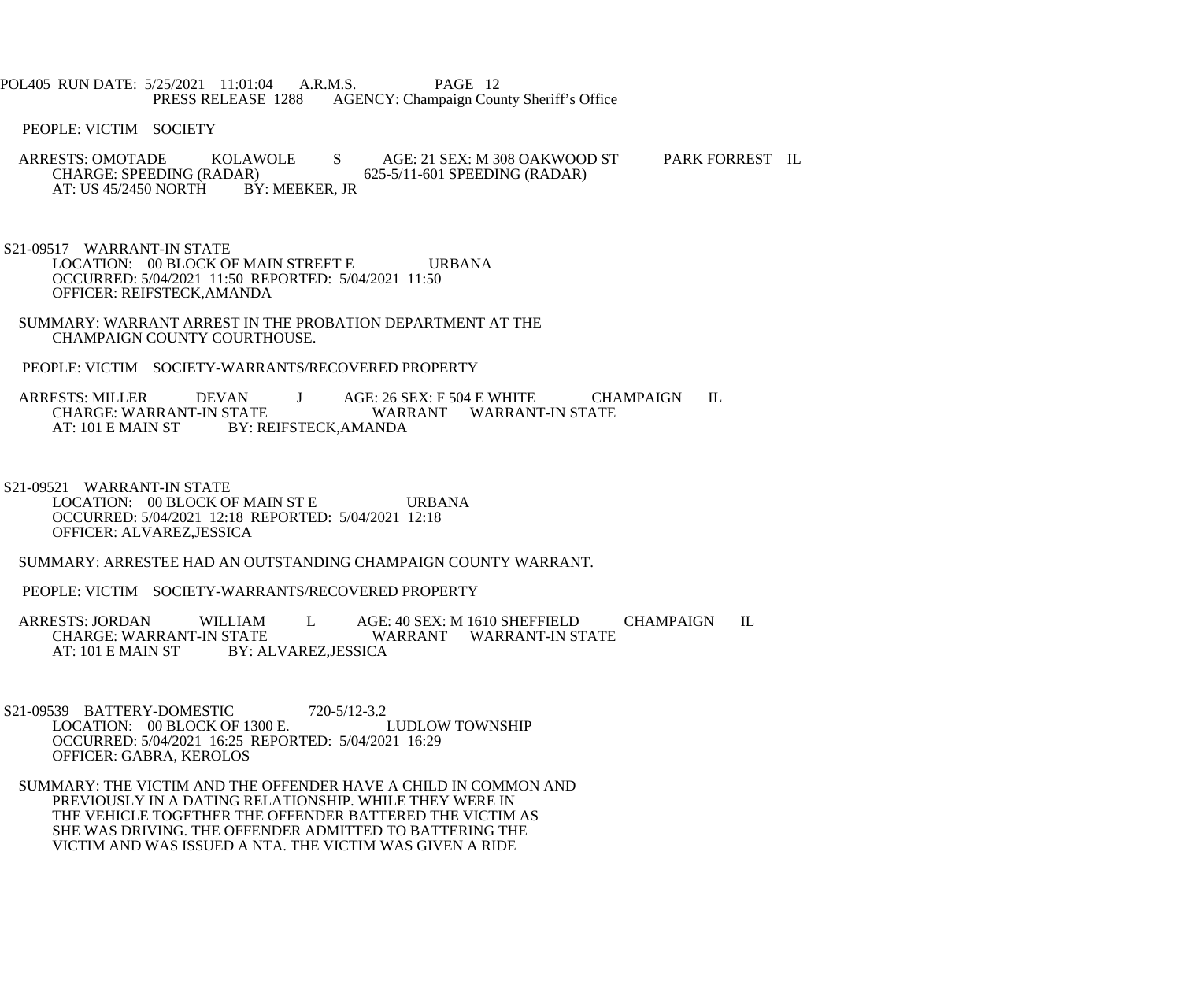POL405 RUN DATE: 5/25/2021 11:01:04 A.R.M.S. PAGE 12<br>PRESS RELEASE 1288 AGENCY: Champaign Cou AGENCY: Champaign County Sheriff's Office

PEOPLE: VICTIM SOCIETY

- ARRESTS: OMOTADE KOLAWOLE S AGE: 21 SEX: M 308 OAKWOOD ST PARK FORREST IL CHARGE: SPEEDING (RADAR) 625-5/11-601 SPEEDING (RADAR) R) 625-5/11-601 SPEEDING (RADAR)<br>BY: MEEKER, JR AT: US 45/2450 NORTH
- S21-09517 WARRANT-IN STATE LOCATION: 00 BLOCK OF MAIN STREET E URBANA OCCURRED: 5/04/2021 11:50 REPORTED: 5/04/2021 11:50 OFFICER: REIFSTECK,AMANDA
- SUMMARY: WARRANT ARREST IN THE PROBATION DEPARTMENT AT THE CHAMPAIGN COUNTY COURTHOUSE.
- PEOPLE: VICTIM SOCIETY-WARRANTS/RECOVERED PROPERTY
- ARRESTS: MILLER DEVAN J AGE: 26 SEX: F 504 E WHITE CHAMPAIGN IL<br>CHARGE: WARRANT-IN STATE WARRANT WARRANT-IN STATE CHARGE: WARRANT-IN STATE WARRANT WARRANT-IN STATE<br>AT: 101 E MAIN ST BY: REIFSTECK.AMANDA BY: REIFSTECK,AMANDA
- S21-09521 WARRANT-IN STATE LOCATION: 00 BLOCK OF MAIN ST E URBANA OCCURRED: 5/04/2021 12:18 REPORTED: 5/04/2021 12:18 OFFICER: ALVAREZ,JESSICA
- SUMMARY: ARRESTEE HAD AN OUTSTANDING CHAMPAIGN COUNTY WARRANT.
- PEOPLE: VICTIM SOCIETY-WARRANTS/RECOVERED PROPERTY
- ARRESTS: JORDAN WILLIAM L AGE: 40 SEX: M 1610 SHEFFIELD CHAMPAIGN IL CHARGE: WARRANT-IN STATE CHARGE: WARRANT-IN STATE WARRANT WARRANT-IN STATE<br>AT: 101 E MAIN ST BY: ALVAREZ.JESSICA BY: ALVAREZ, JESSICA
- S21-09539 BATTERY-DOMESTIC 720-5/12-3.2<br>LOCATION: 00 BLOCK OF 1300 E. LUDLOW TOWNSHIP LOCATION: 00 BLOCK OF 1300 E. OCCURRED: 5/04/2021 16:25 REPORTED: 5/04/2021 16:29 OFFICER: GABRA, KEROLOS
- SUMMARY: THE VICTIM AND THE OFFENDER HAVE A CHILD IN COMMON AND PREVIOUSLY IN A DATING RELATIONSHIP. WHILE THEY WERE IN THE VEHICLE TOGETHER THE OFFENDER BATTERED THE VICTIM AS SHE WAS DRIVING. THE OFFENDER ADMITTED TO BATTERING THE VICTIM AND WAS ISSUED A NTA. THE VICTIM WAS GIVEN A RIDE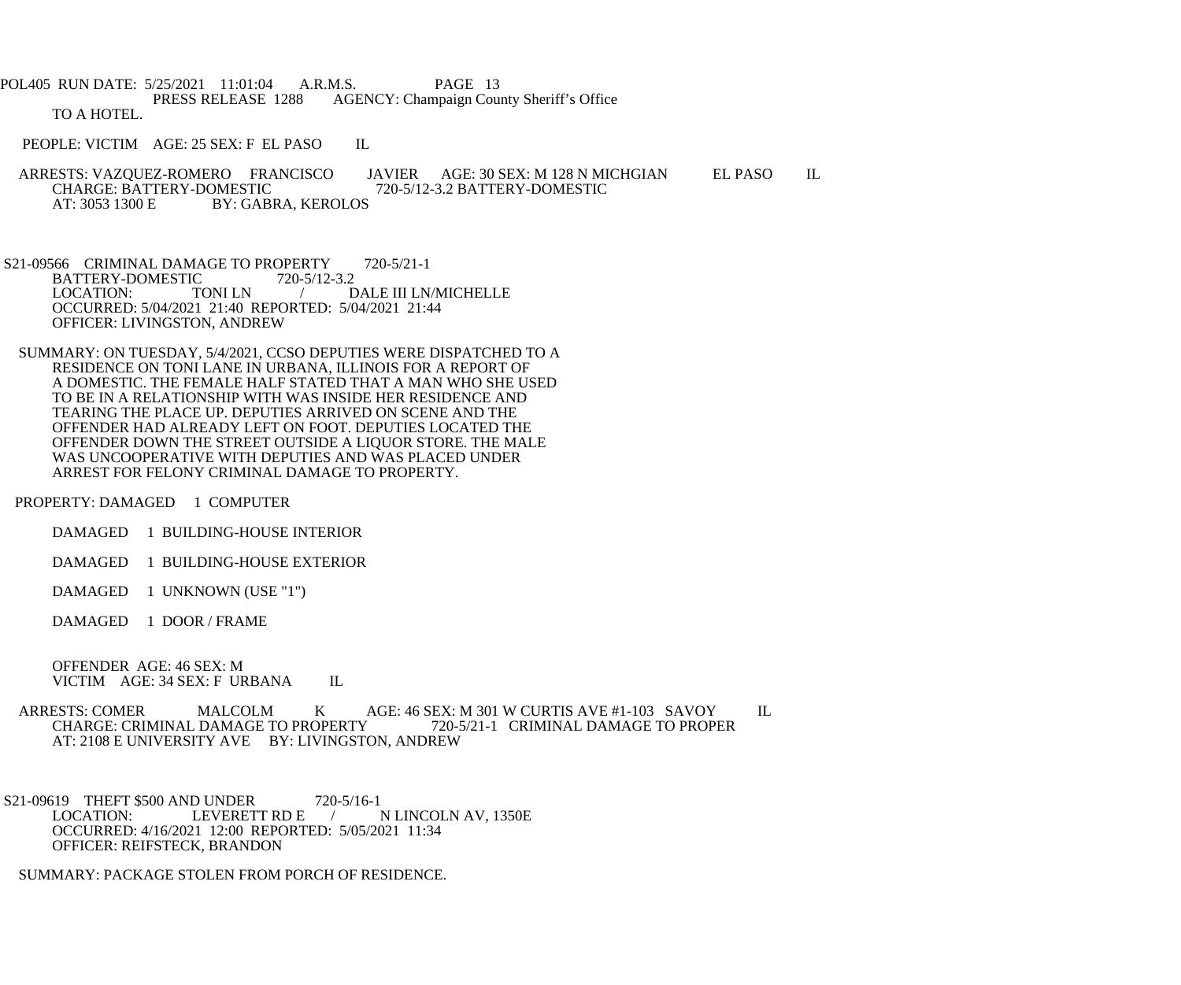POL405 RUN DATE: 5/25/2021 11:01:04 A.R.M.S. PAGE 13<br>PRESS RELEASE 1288 AGENCY: Champaign Cou AGENCY: Champaign County Sheriff's Office TO A HOTEL.

PEOPLE: VICTIM AGE: 25 SEX: F EL PASO IL

ARRESTS: VAZQUEZ-ROMERO FRANCISCO JAVIER AGE: 30 SEX: M 128 N MICHGIAN EL PASO IL CHARGE: BATTERY-DOMESTIC 720-5/12-3.2 BATTERY-DOMESTIC CHARGE: BATTERY-DOMESTIC 720-5/12-3.2 BATTERY-DOMESTIC<br>AT: 3053 1300 E BY: GABRA. KEROLOS BY: GABRA, KEROLOS

- S21-09566 CRIMINAL DAMAGE TO PROPERTY 720-5/21-1 BATTERY-DOMESTIC 720-5/12-3.2<br>LOCATION: TONI LN / D DALE III LN/MICHELLE OCCURRED: 5/04/2021 21:40 REPORTED: 5/04/2021 21:44 OFFICER: LIVINGSTON, ANDREW
- SUMMARY: ON TUESDAY, 5/4/2021, CCSO DEPUTIES WERE DISPATCHED TO A RESIDENCE ON TONI LANE IN URBANA, ILLINOIS FOR A REPORT OF A DOMESTIC. THE FEMALE HALF STATED THAT A MAN WHO SHE USED TO BE IN A RELATIONSHIP WITH WAS INSIDE HER RESIDENCE AND TEARING THE PLACE UP. DEPUTIES ARRIVED ON SCENE AND THE OFFENDER HAD ALREADY LEFT ON FOOT. DEPUTIES LOCATED THE OFFENDER DOWN THE STREET OUTSIDE A LIQUOR STORE. THE MALE WAS UNCOOPERATIVE WITH DEPUTIES AND WAS PLACED UNDER ARREST FOR FELONY CRIMINAL DAMAGE TO PROPERTY.

PROPERTY: DAMAGED 1 COMPUTER

- DAMAGED 1 BUILDING-HOUSE INTERIOR
- DAMAGED 1 BUILDING-HOUSE EXTERIOR
- DAMAGED 1 UNKNOWN (USE "1")
- DAMAGED 1 DOOR / FRAME

 OFFENDER AGE: 46 SEX: M VICTIM AGE: 34 SEX: F URBANA IL

- ARRESTS: COMER MALCOLM K AGE: 46 SEX: M 301 W CURTIS AVE #1-103 SAVOY IL<br>CHARGE: CRIMINAL DAMAGE TO PROPERTY 720-5/21-1 CRIMINAL DAMAGE TO PROPER CHARGE: CRIMINAL DAMAGE TO PROPERTY AT: 2108 E UNIVERSITY AVE BY: LIVINGSTON, ANDREW
- S21-09619 THEFT \$500 AND UNDER 720-5/16-1<br>LOCATION: LEVERETT RD E N LINCOLN AV, 1350E OCCURRED: 4/16/2021 12:00 REPORTED: 5/05/2021 11:34 OFFICER: REIFSTECK, BRANDON

SUMMARY: PACKAGE STOLEN FROM PORCH OF RESIDENCE.